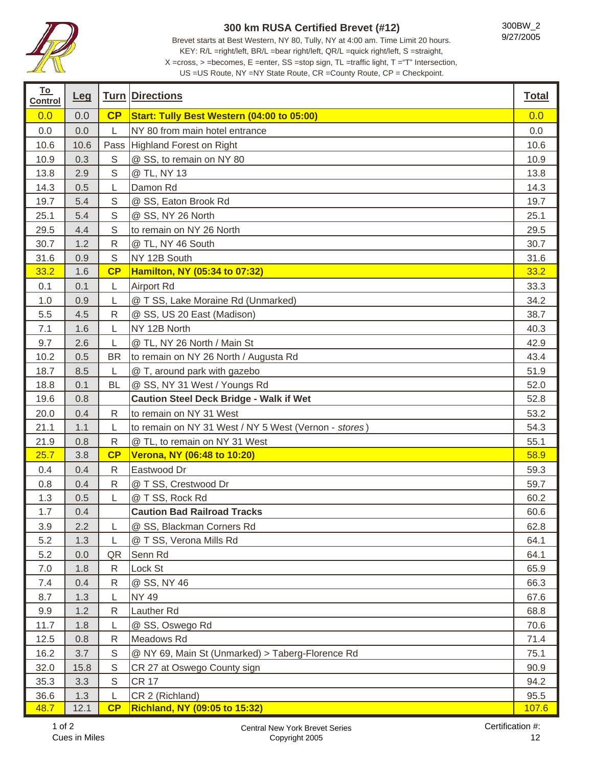

## **300 km RUSA Certified Brevet (#12)**

Brevet starts at Best Western, NY 80, Tully, NY at 4:00 am. Time Limit 20 hours. KEY: R/L =right/left, BR/L =bear right/left, QR/L =quick right/left, S =straight, X =cross, > =becomes, E =enter, SS =stop sign, TL =traffic light, T ="T" Intersection,

US =US Route, NY =NY State Route, CR =County Route, CP = Checkpoint.

| <u>To</u><br><b>Control</b> | Leg  |              | <b>Turn Directions</b>                                | <b>Total</b> |
|-----------------------------|------|--------------|-------------------------------------------------------|--------------|
| 0.0                         | 0.0  | CP           | Start: Tully Best Western (04:00 to 05:00)            | 0.0          |
| 0.0                         | 0.0  | L            | NY 80 from main hotel entrance                        | 0.0          |
| 10.6                        | 10.6 | Pass         | <b>Highland Forest on Right</b>                       | 10.6         |
| 10.9                        | 0.3  | $\mathsf S$  | @ SS, to remain on NY 80                              | 10.9         |
| 13.8                        | 2.9  | $\mathsf S$  | @ TL, NY 13                                           | 13.8         |
| 14.3                        | 0.5  | L            | Damon Rd                                              | 14.3         |
| 19.7                        | 5.4  | $\mathbb S$  | @ SS, Eaton Brook Rd                                  | 19.7         |
| 25.1                        | 5.4  | $\mathsf S$  | @ SS, NY 26 North                                     | 25.1         |
| 29.5                        | 4.4  | $\mathbb S$  | to remain on NY 26 North                              | 29.5         |
| 30.7                        | 1.2  | ${\sf R}$    | @ TL, NY 46 South                                     | 30.7         |
| 31.6                        | 0.9  | $\mathsf S$  | NY 12B South                                          | 31.6         |
| 33.2                        | 1.6  | CP           | Hamilton, NY (05:34 to 07:32)                         | 33.2         |
| 0.1                         | 0.1  | L            | <b>Airport Rd</b>                                     | 33.3         |
| 1.0                         | 0.9  | L            | @ T SS, Lake Moraine Rd (Unmarked)                    | 34.2         |
| 5.5                         | 4.5  | ${\sf R}$    | @ SS, US 20 East (Madison)                            | 38.7         |
| 7.1                         | 1.6  | L            | NY 12B North                                          | 40.3         |
| 9.7                         | 2.6  | L            | @ TL, NY 26 North / Main St                           | 42.9         |
| 10.2                        | 0.5  | <b>BR</b>    | to remain on NY 26 North / Augusta Rd                 | 43.4         |
| 18.7                        | 8.5  | L            | @ T, around park with gazebo                          | 51.9         |
| 18.8                        | 0.1  | <b>BL</b>    | @ SS, NY 31 West / Youngs Rd                          | 52.0         |
| 19.6                        | 0.8  |              | <b>Caution Steel Deck Bridge - Walk if Wet</b>        | 52.8         |
| 20.0                        | 0.4  | R            | to remain on NY 31 West                               | 53.2         |
| 21.1                        | 1.1  | L            | to remain on NY 31 West / NY 5 West (Vernon - stores) | 54.3         |
| 21.9                        | 0.8  | ${\sf R}$    | @ TL, to remain on NY 31 West                         | 55.1         |
| 25.7                        | 3.8  | CP           | Verona, NY (06:48 to 10:20)                           | 58.9         |
| 0.4                         | 0.4  | $\mathsf{R}$ | Eastwood Dr                                           | 59.3         |
| 0.8                         | 0.4  | $\mathsf{R}$ | @ T SS, Crestwood Dr                                  | 59.7         |
| 1.3                         | 0.5  | L            | @ T SS, Rock Rd                                       | 60.2         |
| 1.7                         | 0.4  |              | <b>Caution Bad Railroad Tracks</b>                    | 60.6         |
| 3.9                         | 2.2  | L            | @ SS, Blackman Corners Rd                             | 62.8         |
| 5.2                         | 1.3  | L            | @ T SS, Verona Mills Rd                               | 64.1         |
| 5.2                         | 0.0  | QR           | Senn Rd                                               | 64.1         |
| 7.0                         | 1.8  | $\mathsf{R}$ | Lock St                                               | 65.9         |
| 7.4                         | 0.4  | R            | @ SS, NY 46                                           | 66.3         |
| 8.7                         | 1.3  | L            | <b>NY 49</b>                                          | 67.6         |
| 9.9                         | 1.2  | ${\sf R}$    | Lauther Rd                                            | 68.8         |
| 11.7                        | 1.8  | L            | @ SS, Oswego Rd                                       | 70.6         |
| 12.5                        | 0.8  | $\mathsf{R}$ | Meadows Rd                                            | 71.4         |
| 16.2                        | 3.7  | $\mathbb S$  | @ NY 69, Main St (Unmarked) > Taberg-Florence Rd      | 75.1         |
| 32.0                        | 15.8 | $\mathbb S$  | CR 27 at Oswego County sign                           | 90.9         |
| 35.3                        | 3.3  | $\mathbb S$  | <b>CR 17</b>                                          | 94.2         |
| 36.6                        | 1.3  | L            | CR 2 (Richland)                                       | 95.5         |
| 48.7                        | 12.1 | CP           | Richland, NY (09:05 to 15:32)                         | 107.6        |

ī